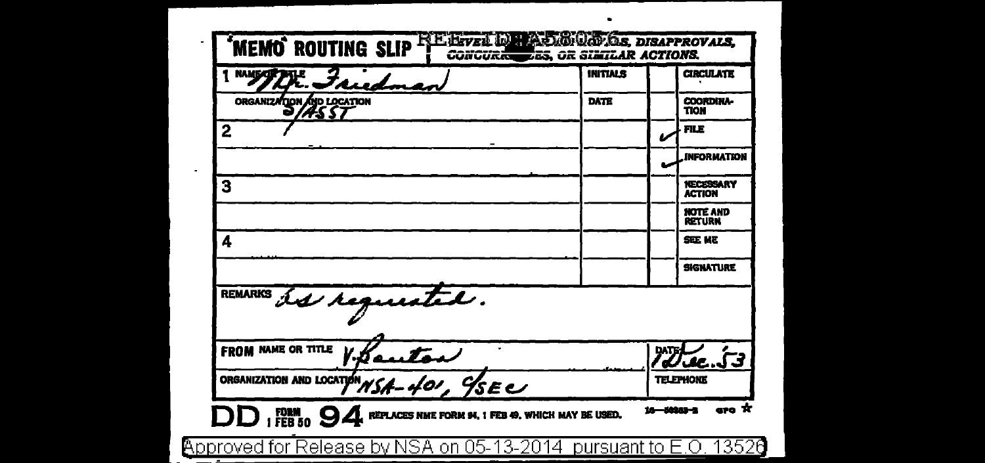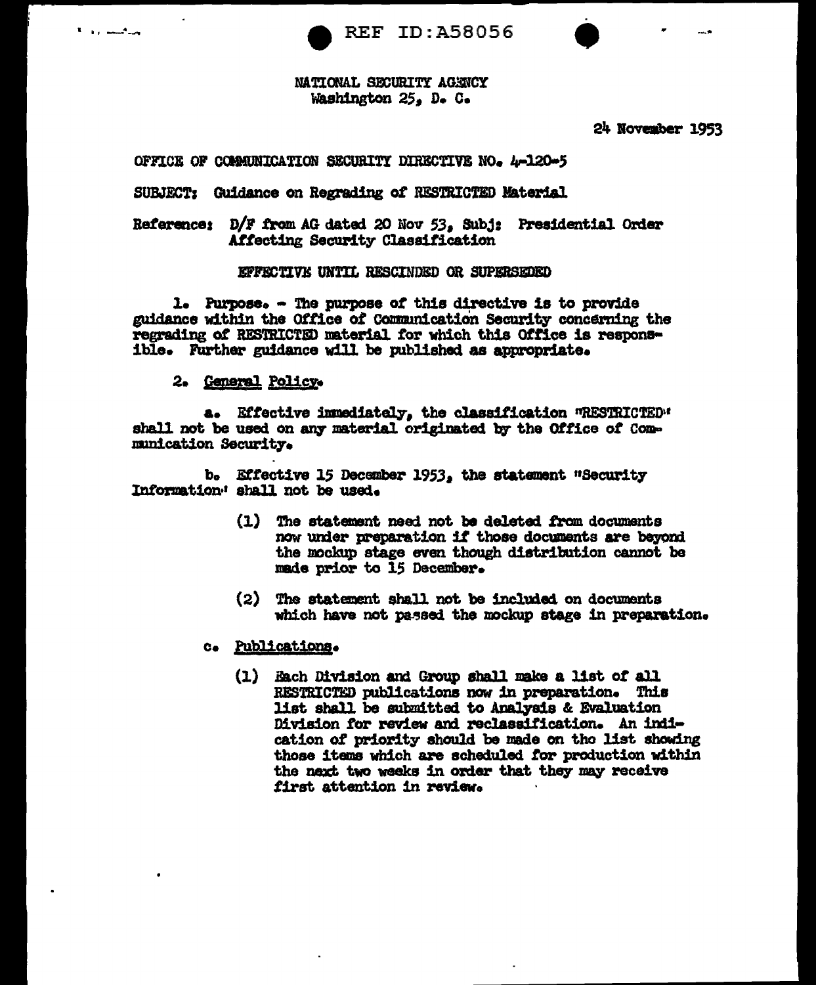



NATIONAL SECURITY AGENCY Washington 25, D. C.

24 November 1953

OFFICE OF COMMUNICATION SECURITY DIRECTIVE NO. 4-120-5

SUBJECT: Guidance on Regrading of RESTRICTED Material

Reference: D/F from AG dated 20 Nov 53, Subj: Presidential Order Affecting Security Classification

#### EFFECTIVE UNTIL RESCINDED OR SUPERSEDED

1. Purpose. - The purpose of this directive is to provide guidance within the Office of Communication Security concerning the regrading of RESTRICTED material for which this Office is responsible. Further guidance will be published as appropriate.

2. General Policy.

a. Effective immediately, the classification WRESTRICTED" shall not be used on any material originated by the Office of Communication Security.

b. Effective 15 December 1953, the statement "Security Information: shall not be used.

- (1) The statement need not be deleted from documents now under preparation if those documents are beyond the mockup stage even though distribution cannot be made prior to 15 December.
- (2) The statement shall not be included on documents which have not passed the mockup stage in preparation.
- c. Publications.
	- (1) Each Division and Group shall make a list of all RESTRICTED publications now in preparation. This list shall be submitted to Analysis & Evaluation Division for review and reclassification. An indication of priority should be made on the list showing those items which are scheduled for production within the naxt two weeks in order that they may receive first attention in review.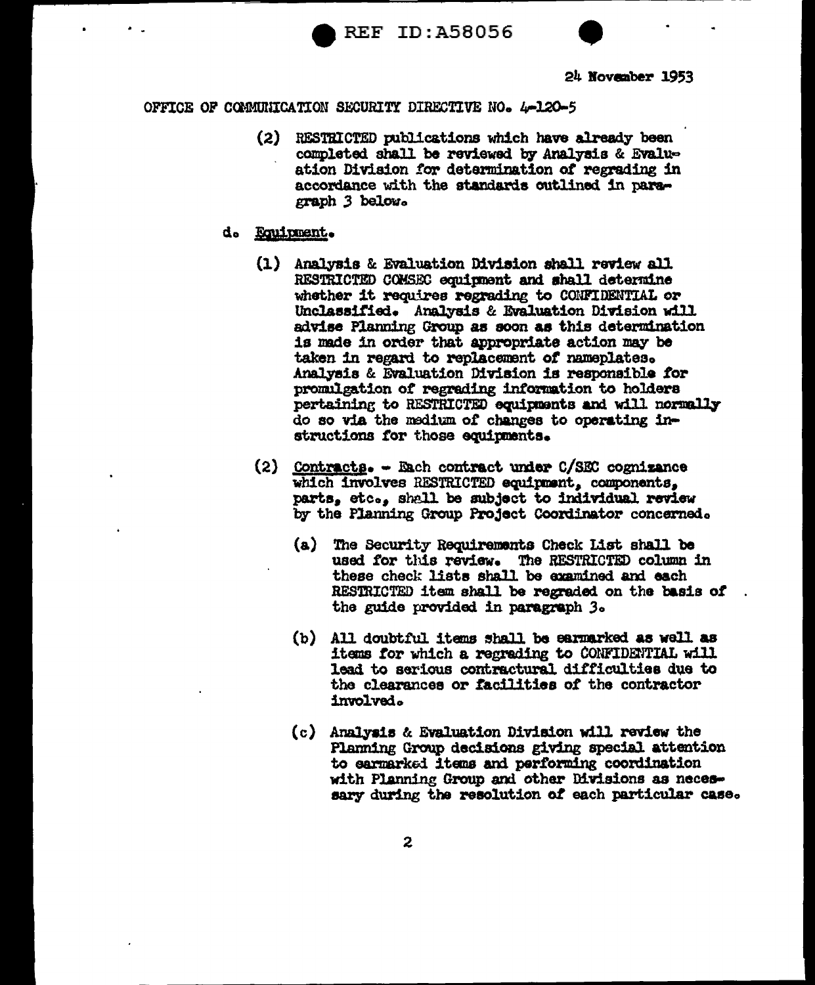



- (2) RESTRICTED publications which have already been completed shall be reviewed by Analysis & Evaluation Division for determination of regrading in accordance with the standards outlined in paragraph 3 below.
- d. Equipment.
	- (1) Analysis & Evaluation Division shall review all RESTRICTED COMSEC equipment and shall determine whether it requires regrading to CONFIDENTIAL or Unclassified. Analysis & Evaluation Division will advise Planning Group as soon as this determination is made in order that appropriate action may be taken in regard to replacement of nameplates. Analysis & Evaluation Division is responsible for promulgation of regrading information to holders pertaining to RESTRICTED equipments and will normally do so via the medium of changes to operating instructions for those equipments.
	- $(2)$  <u>Contracts</u>. Each contract under C/SEC cognizance which involves RESTRICTED equipment, components, parts, etc., shall be subject to individual review by the Planning Group Project Coordinator concerned.
		- (a) The Security Requirements Check List shall be used for this review. The RESTRICTED column in these check lists shall be examined and each RESTRICTED item shall be regraded on the basis of the guide provided in paragraph 3.
		- (b) All doubtful items shall be earmarked as well as items for which a regrading to CONFIDENTIAL will lead to serious contractural difficulties due to the clearances or facilities of the contractor involved.
		- (c) Analysis & Evaluation Division will review the Planning Group decisions giving special attention to earmarked items and performing coordination with Planning Group and other Divisions as necessary during the resolution of each particular case.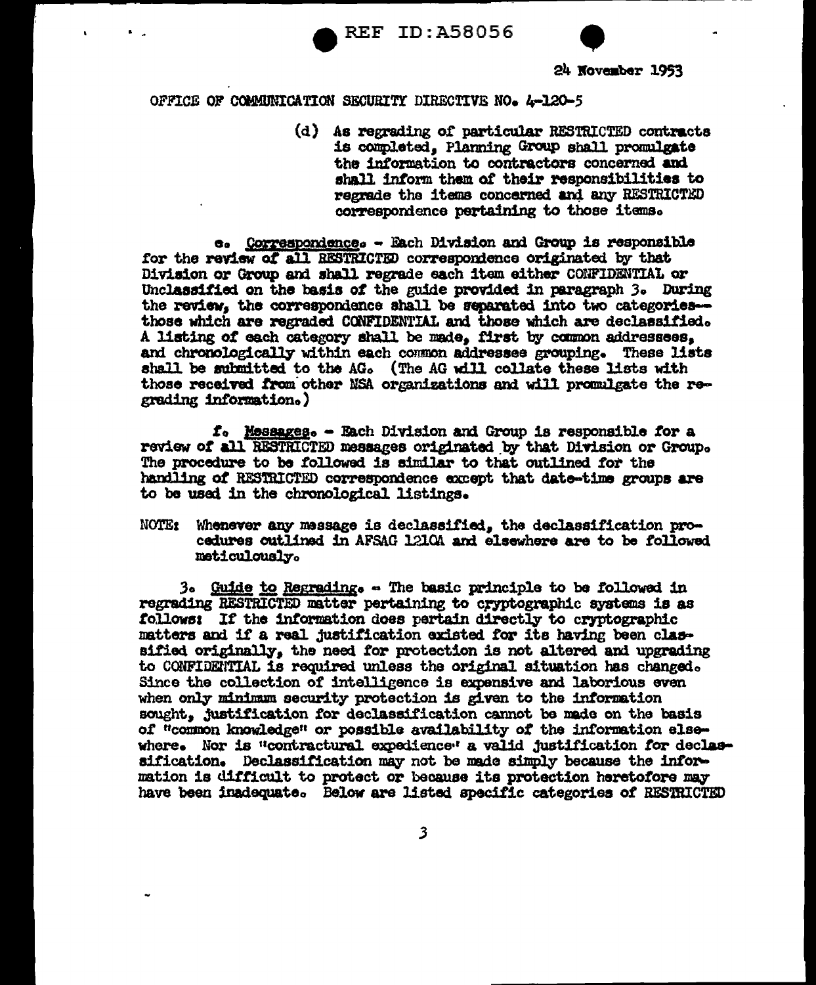**REF ID:A58056** 



### OFFICE OF COMMUNICATION SECURITY DIRECTIVE NO. 4-120-5

(d) As regrading of particular RESTRICTED contracts is completed. Planning Group shall promulgate the information to contractors concerned and shall inform them of their responsibilities to regrade the items concerned and any RESTRICTED correspondence pertaining to those items.

e. Correspondence. - Each Division and Group is responsible for the review of all RESTRICTED correspondence originated by that Division or Group and shall regrade each item either CONFIDENTIAL or Unclassified on the basis of the guide provided in paragraph 3. During the review, the correspondence shall be separated into two categoriesthose which are regraded CONFIDENTIAL and those which are declassified. A listing of each category shall be made. first by common addressees. and chronologically within each common addressee grouping. These lists shall be submitted to the AG. (The AG will collate these lists with those received from other NSA organizations and will promulgate the regrading information.)

f. Messages. - Each Division and Group is responsible for a review of all RESTRICTED messages originated by that Division or Group. The procedure to be followed is similar to that outlined for the handling of RESTRICTED correspondence except that date-time groups are to be used in the chronological listings.

Whenever any message is declassified, the declassification pro-**NOTE:** cedures outlined in AFSAG 1210A and elsewhere are to be followed meticulously.

3. Guide to Regrading. - The basic principle to be followed in regrading RESTRICTED matter pertaining to cryptographic systems is as follows: If the information does pertain directly to cryptographic matters and if a real justification existed for its having been classified originally, the need for protection is not altered and upgrading to CONFIDENTIAL is required unless the original situation has changed. Since the collection of intelligence is expensive and laborious even when only minimum security protection is given to the information sought. justification for declassification cannot be made on the basis of "common knowledge" or possible availability of the information elsewhere. Nor is "contractural expedience" a valid justification for declassification. Declassification may not be made simply because the information is difficult to protect or because its protection heretofore may have been inadequate. Below are listed specific categories of RESTRICTED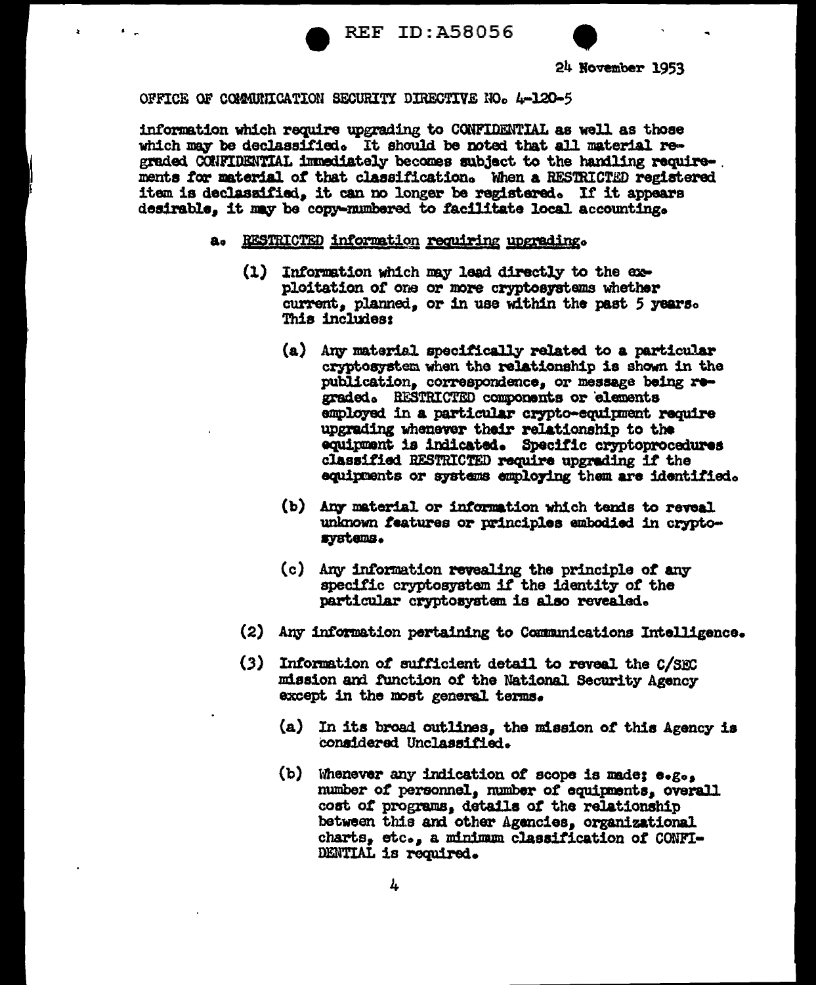

information which require upgrading to CONFIDENTIAL as well as those which may be declassified. It should be noted that all material regraded CONFIDENTIAL immediately becomes subject to the handling requirements for material of that classification. When a RESTRICTED registered item is declassified, it can no longer be registered. If it appears desirable. it may be copy-numbered to facilitate local accounting.

# a. RESTRICTED information requiring upgrading.

- (1) Information which may lead directly to the exploitation of one or more cryptosystems whether current, planned, or in use within the past 5 years. This includes:
	- (a) Any material specifically related to a particular cryptosystem when the relationship is shown in the publication, correspondence, or message being regraded. RESTRICTED components or elements employed in a particular crypto-equipment require upgrading whenever their relationship to the equipment is indicated. Specific cryptoprocedures classified RESTRICTED require upgrading if the equipments or systems employing them are identified.
	- (b) Any material or information which tends to reveal unknown features or principles embodied in cryptosystems.
	- (c) Any information revealing the principle of any specific cryptosystem if the identity of the particular cryptosystem is also revealed.
- (2) Any information pertaining to Communications Intelligence.
- (3) Information of sufficient detail to reveal the C/SEC mission and function of the National Security Agency except in the most general terms.
	- (a) In its broad outlines, the mission of this Agency is considered Unclassified.
	- (b) Whenever any indication of scope is made; e.g., number of personnel, number of equipments, overall cost of programs, details of the relationship between this and other Agencies, organizational charts, etc., a minimum classification of CONFI-DENTIAL is required.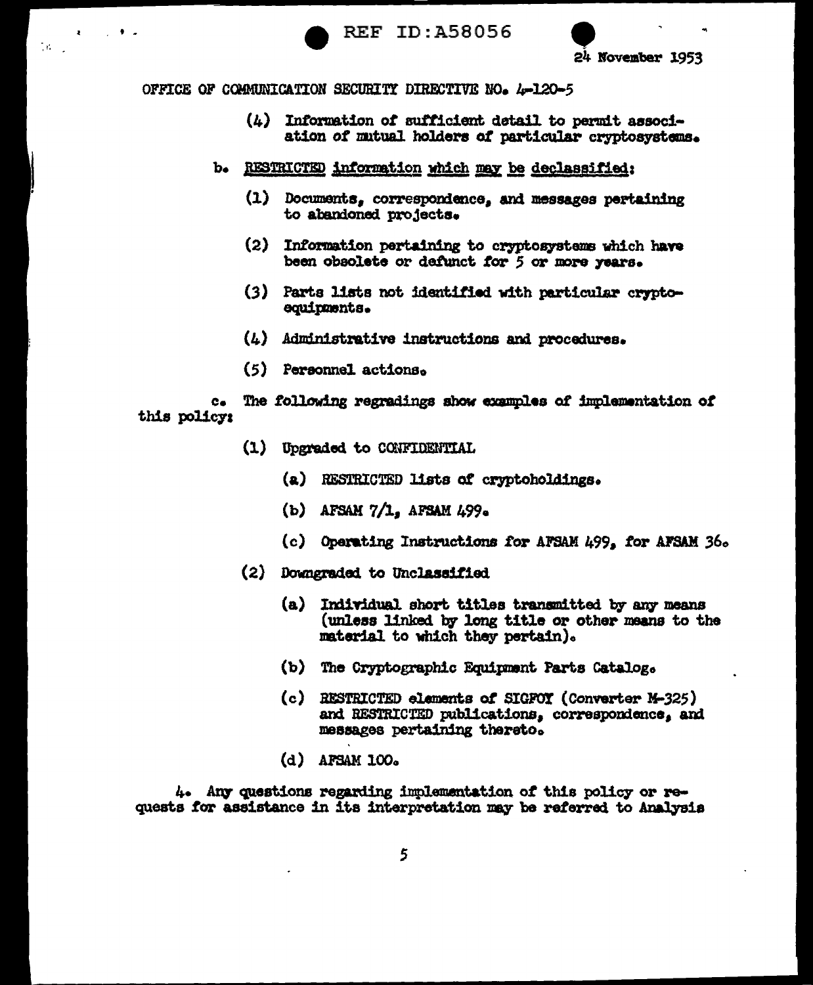

 $\mathcal{L}^{\mathcal{A}}$ 

 $\mathcal{M}^{\text{max}}$ 

- $(4)$  Information of sufficient detail to permit association of mutual holders of particular cryptosystems.
- b. RESTRICTED information which may be declassified:
	- (1) Documents, correspondence, and messages pertaining to abandoned projects.
	- (2) Information pertaining to cryptosystems which have been obsolete or defunct for 5 or more years.
	- (3) Parts lists not identified with particular cryptoequipments.
	- $(4)$  Administrative instructions and procedures.
	- (5) Personnel actions.

The following regradings show examples of implementation of  $c_{\bullet}$ this policy:

- (1) Upgraded to CONFIDENTIAL
	- (a) RESTRICTED lists of cryptoholdings.
	- (b) AFSAM  $7/1$ , AFSAM 499.
	- (c) Operating Instructions for AFSAM 499, for AFSAM 36.
- (2) Downgraded to Unclassified
	- (a) Individual short titles transmitted by any means (unless linked by long title or other means to the material to which they pertain).
	- (b) The Cryptographic Equipment Parts Catalog.
	- (c) RESTRICTED elements of SIGFOY (Converter M-325) and RESTRICTED publications, correspondence, and messages pertaining thereto.
	- $(d)$  AFSAM 100.

4. Any questions regarding implementation of this policy or requests for assistance in its interpretation may be referred to Analysis